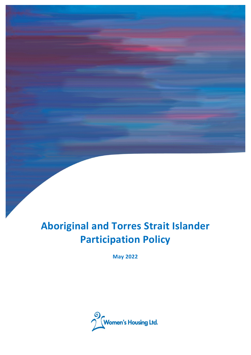# **Aboriginal and Torres Strait Islander Participation Policy**

**May 2022**

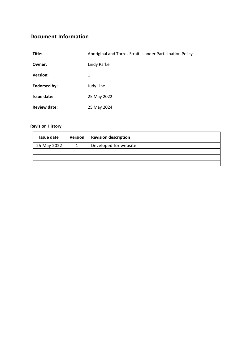# <span id="page-1-0"></span>**Document Information**

| Title:              | Aboriginal and Torres Strait Islander Participation Policy |
|---------------------|------------------------------------------------------------|
| Owner:              | <b>Lindy Parker</b>                                        |
| <b>Version:</b>     | 1                                                          |
| <b>Endorsed by:</b> | Judy Line                                                  |
| Issue date:         | 25 May 2022                                                |
| <b>Review date:</b> | 25 May 2024                                                |

## **Revision History**

| Issue date  | <b>Version</b> | <b>Revision description</b> |
|-------------|----------------|-----------------------------|
| 25 May 2022 |                | Developed for website       |
|             |                |                             |
|             |                |                             |
|             |                |                             |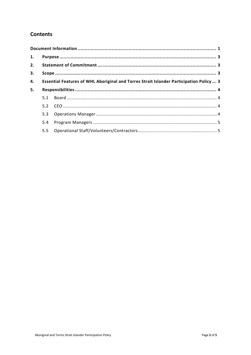# **Contents**

| 1. |                                                                                         |  |  |
|----|-----------------------------------------------------------------------------------------|--|--|
| 2. |                                                                                         |  |  |
| 3. |                                                                                         |  |  |
| 4. | Essential Features of WHL Aboriginal and Torres Strait Islander Participation Policy  3 |  |  |
| 5. |                                                                                         |  |  |
|    | 5.1                                                                                     |  |  |
|    | 5.2                                                                                     |  |  |
|    | 5.3                                                                                     |  |  |
|    | 5.4                                                                                     |  |  |
|    | 5.5                                                                                     |  |  |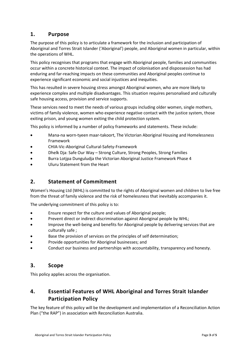# <span id="page-3-0"></span>**1. Purpose**

The purpose of this policy is to articulate a framework for the inclusion and participation of Aboriginal and Torres Strait Islander ('Aboriginal') people, and Aboriginal women in particular, within the operations of WHL.

This policy recognises that programs that engage with Aboriginal people, families and communities occur within a concrete historical context. The impact of colonisation and dispossession has had enduring and far-reaching impacts on these communities and Aboriginal peoples continue to experience significant economic and social injustices and inequities.

This has resulted in severe housing stress amongst Aboriginal women, who are more likely to experience complex and multiple disadvantages. This situation requires personalised and culturally safe housing access, provision and service supports.

These services need to meet the needs of various groups including older women, single mothers, victims of family violence, women who experience negative contact with the justice system, those exiting prison, and young women exiting the child protection system.

This policy is informed by a number of policy frameworks and statements. These include:

- [Mana-na worn-tyeen maar-takoort, The Victorian Aboriginal Housing and Homelessness](https://www.vahhf.org.au/cms_uploads/docs/victorian-aboriginal-housing-and-homelessness-framework_complete_26_02_20.pdf) [Framework](https://www.vahhf.org.au/cms_uploads/docs/victorian-aboriginal-housing-and-homelessness-framework_complete_26_02_20.pdf)
- [CHIA-Vic-Aboriginal Cultural-Safety-Framework](https://chiavic.com.au/wp-content/uploads/2020/07/CHIA-Vic-Cultural-Safety-Framework-FINAL-1.pdf)
- [Dhelk Dja: Safe Our Way Strong Culture, Strong Peoples, Strong Families](https://www.vic.gov.au/dhelk-dja-partnership-aboriginal-communities-address-family-violence)
- [Burra Lotjpa Dunguludja the Victorian Aboriginal Justice Framework Phase 4](https://files.aboriginaljustice.vic.gov.au/2021-02/Victorian%20Aboriginal%20Justice%20Agreement%20Phase%204.pdf)
- [Uluru Statement from the Heart](https://ulurustatement.org/)

## <span id="page-3-1"></span>**2. Statement of Commitment**

Women's Housing Ltd (WHL) is committed to the rights of Aboriginal women and children to live free from the threat of family violence and the risk of homelessness that inevitably accompanies it.

The underlying commitment of this policy is to:

- Ensure respect for the culture and values of Aboriginal people;
- Prevent direct or indirect discrimination against Aboriginal people by WHL;
- Improve the well-being and benefits for Aboriginal people by delivering services that are culturally safe ;
- Base the provision of services on the principles of self determination;
- Provide opportunities for Aboriginal businesses; and
- Conduct our business and partnerships with accountability, transparency and honesty.

## <span id="page-3-2"></span>**3. Scope**

This policy applies across the organisation.

# <span id="page-3-3"></span>**4. Essential Features of WHL Aboriginal and Torres Strait Islander Participation Policy**

The key feature of this policy will be the development and implementation of a Reconciliation Action Plan ("the RAP") in association with Reconciliation Australia.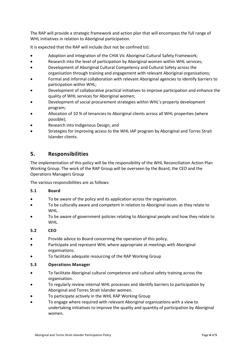The RAP will provide a strategic framework and action plan that will encompass the full range of WHL initiatives in relation to Aboriginal participation.

It is expected that the RAP will include (but not be confined to):

- Adoption and integration of the CHIA Vic Aboriginal Cultural Safety Framework;
- Research into the level of participation by Aboriginal women within WHL services;
- Development of Aboriginal Cultural Competency and Cultural Safety across the organisation through training and engagement with relevant Aboriginal organisations;
- Formal and informal collaboration with relevant Aboriginal agencies to identify barriers to participation within WHL;
- Development of collaborative practical initiatives to improve participation and enhance the quality of WHL services for Aboriginal women;
- Development of social procurement strategies within WHL's property development program;
- Allocation of 10 % of tenancies to Aboriginal clients across all WHL properties (where possible);
- Research into Indigenous Design; and
- Strategies for improving access to the WHL IAP program by Aboriginal and Torres Strait Islander clients.

## <span id="page-4-0"></span>**5. Responsibilities**

The implementation of this policy will be the responsibility of the WHL Reconciliation Action Plan Working Group. The work of the RAP Group will be overseen by the Board, the CEO and the Operations Managers Group

The various responsibilities are as follows:

### <span id="page-4-1"></span>**5.1 Board**

- To be aware of the policy and its application across the organisation.
- To be culturally aware and competent in relation to Aboriginal issues as they relate to WHL.
- To be aware of government policies relating to Aboriginal people and how they relate to WHL.

### <span id="page-4-2"></span>**5.2 CEO**

- Provide advice to Board concerning the operation of this policy.
- Participate and represent WHL where appropriate at meetings with Aboriginal organisations.
- To facilitate adequate resourcing of the RAP Working Group

#### <span id="page-4-3"></span>**5.3 Operations Manager**

- To facilitate Aboriginal cultural competence and cultural safety training across the organisation.
- To regularly review internal WHL processes and identify barriers to participation by Aboriginal and Torres Strait Islander women.
- To participate actively in the WHL RAP Working Group
- To engage where required with relevant Aboriginal organizations with a view to undertaking initiatives to improve the quality and quantity of participation by Aboriginal women.